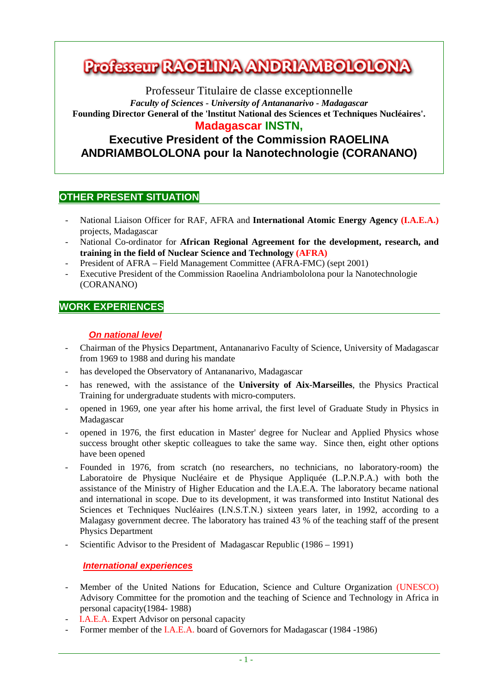# **Professeur RAOFUNA ANDRIAMBOLOLONA**

Professeur Titulaire de classe exceptionnelle *Faculty of Sciences - University of Antananarivo - Madagascar*  **Founding Director General of the 'lnstitut National des Sciences et Techniques Nucléaires'. Madagascar INSTN,** 

## **Executive President of the Commission RAOELINA ANDRIAMBOLOLONA pour la Nanotechnologie (CORANANO)**

### **OTHER PRESENT SITUATION**

- National Liaison Officer for RAF, AFRA and **International Atomic Energy Agency (I.A.E.A.)** projects, Madagascar
- National Co-ordinator for African Regional Agreement for the development, research, and **training in the field of Nuclear Science and Technology (AFRA)**
- President of AFRA Field Management Committee (AFRA-FMC) (sept 2001)
- Executive President of the Commission Raoelina Andriambololona pour la Nanotechnologie (CORANANO)

## **WORK EXPERIENCES**

#### **On national level**

- Chairman of the Physics Department, Antananarivo Faculty of Science, University of Madagascar from 1969 to 1988 and during his mandate
- has developed the Observatory of Antananarivo, Madagascar
- has renewed, with the assistance of the **University of Aix-Marseilles**, the Physics Practical Training for undergraduate students with micro-computers.
- opened in 1969, one year after his home arrival, the first level of Graduate Study in Physics in Madagascar
- opened in 1976, the first education in Master' degree for Nuclear and Applied Physics whose success brought other skeptic colleagues to take the same way. Since then, eight other options have been opened
- Founded in 1976, from scratch (no researchers, no technicians, no laboratory-room) the Laboratoire de Physique Nucléaire et de Physique Appliquée (L.P.N.P.A.) with both the assistance of the Ministry of Higher Education and the I.A.E.A. The laboratory became national and international in scope. Due to its development, it was transformed into Institut National des Sciences et Techniques Nucléaires (I.N.S.T.N.) sixteen years later, in 1992, according to a Malagasy government decree. The laboratory has trained 43 % of the teaching staff of the present Physics Department
- Scientific Advisor to the President of Madagascar Republic (1986 1991)

#### **International experiences**

- Member of the United Nations for Education, Science and Culture Organization (UNESCO) Advisory Committee for the promotion and the teaching of Science and Technology in Africa in personal capacity(1984- 1988)
- I.A.E.A. Expert Advisor on personal capacity
- Former member of the I.A.E.A. board of Governors for Madagascar (1984 -1986)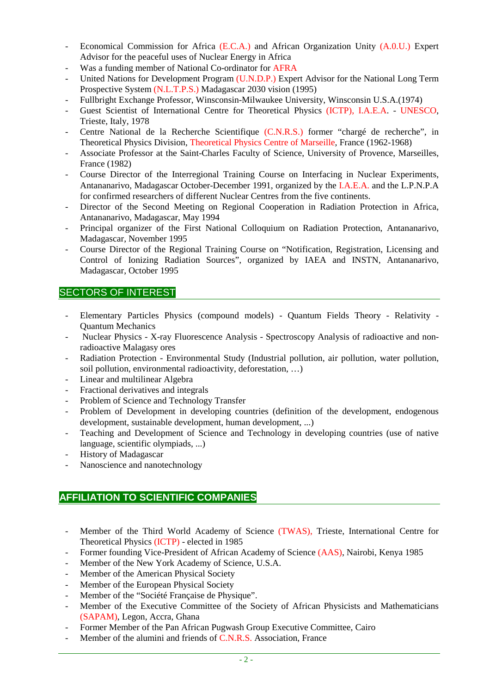- Economical Commission for Africa (E.C.A.) and African Organization Unity (A.0.U.) Expert Advisor for the peaceful uses of Nuclear Energy in Africa
- Was a funding member of National Co-ordinator for AFRA
- United Nations for Development Program (U.N.D.P.) Expert Advisor for the National Long Term Prospective System (N.L.T.P.S.) Madagascar 2030 vision (1995)
- Fullbright Exchange Professor, Winsconsin-Milwaukee University, Winsconsin U.S.A.(1974)
- Guest Scientist of International Centre for Theoretical Physics (ICTP), I.A.E.A. UNESCO, Trieste, Italy, 1978
- Centre National de la Recherche Scientifique (C.N.R.S.) former "chargé de recherche", in Theoretical Physics Division, Theoretical Physics Centre of Marseille, France (1962-1968)
- Associate Professor at the Saint-Charles Faculty of Science, University of Provence, Marseilles, France (1982)
- Course Director of the Interregional Training Course on Interfacing in Nuclear Experiments, Antananarivo, Madagascar October-December 1991, organized by the I.A.E.A. and the L.P.N.P.A for confirmed researchers of different Nuclear Centres from the five continents.
- Director of the Second Meeting on Regional Cooperation in Radiation Protection in Africa, Antananarivo, Madagascar, May 1994
- Principal organizer of the First National Colloquium on Radiation Protection, Antananarivo, Madagascar, November 1995
- Course Director of the Regional Training Course on "Notification, Registration, Licensing and Control of Ionizing Radiation Sources", organized by IAEA and INSTN, Antananarivo, Madagascar, October 1995

### SECTORS OF INTEREST

- Elementary Particles Physics (compound models) Quantum Fields Theory Relativity Quantum Mechanics
- Nuclear Physics X-ray Fluorescence Analysis Spectroscopy Analysis of radioactive and nonradioactive Malagasy ores
- Radiation Protection Environmental Study (Industrial pollution, air pollution, water pollution, soil pollution, environmental radioactivity, deforestation, …)
- Linear and multilinear Algebra
- Fractional derivatives and integrals
- Problem of Science and Technology Transfer
- Problem of Development in developing countries (definition of the development, endogenous development, sustainable development, human development, ...)
- Teaching and Development of Science and Technology in developing countries (use of native language, scientific olympiads, ...)
- History of Madagascar
- Nanoscience and nanotechnology

### **AFFILIATION TO SCIENTIFIC COMPANIES**

- Member of the Third World Academy of Science (TWAS), Trieste, International Centre for Theoretical Physics (ICTP) - elected in 1985
- Former founding Vice-President of African Academy of Science (AAS), Nairobi, Kenya 1985
- Member of the New York Academy of Science, U.S.A.
- Member of the American Physical Society
- Member of the European Physical Society
- Member of the "Société Française de Physique".
- Member of the Executive Committee of the Society of African Physicists and Mathematicians (SAPAM), Legon, Accra, Ghana
- Former Member of the Pan African Pugwash Group Executive Committee, Cairo
- Member of the alumini and friends of C.N.R.S. Association, France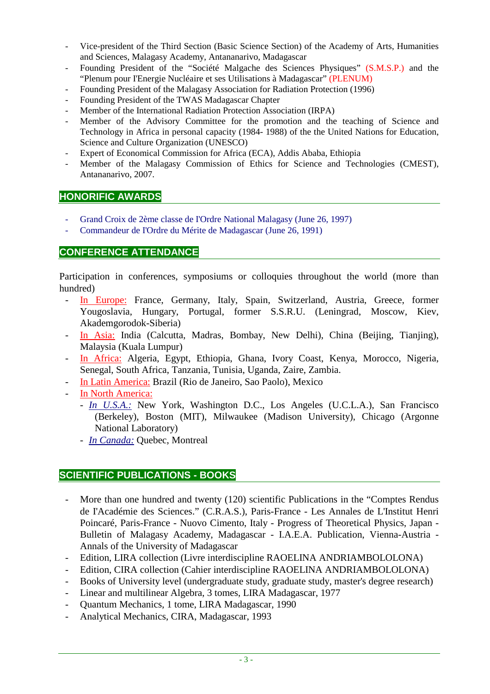- Vice-president of the Third Section (Basic Science Section) of the Academy of Arts, Humanities and Sciences, Malagasy Academy, Antananarivo, Madagascar
- Founding President of the "Société Malgache des Sciences Physiques" (S.M.S.P.) and the "Plenum pour I'Energie Nucléaire et ses Utilisations à Madagascar" (PLENUM)
- Founding President of the Malagasy Association for Radiation Protection (1996)
- Founding President of the TWAS Madagascar Chapter
- Member of the International Radiation Protection Association (IRPA)
- Member of the Advisory Committee for the promotion and the teaching of Science and Technology in Africa in personal capacity (1984- 1988) of the the United Nations for Education, Science and Culture Organization (UNESCO)
- Expert of Economical Commission for Africa (ECA), Addis Ababa, Ethiopia
- Member of the Malagasy Commission of Ethics for Science and Technologies (CMEST), Antananarivo, 2007.

### **HONORIFIC AWARDS**

- Grand Croix de 2ème classe de I'Ordre National Malagasy (June 26, 1997)
- Commandeur de I'Ordre du Mérite de Madagascar (June 26, 1991)

### **CONFERENCE ATTENDANCE**

Participation in conferences, symposiums or colloquies throughout the world (more than hundred)

- In Europe: France, Germany, Italy, Spain, Switzerland, Austria, Greece, former Yougoslavia, Hungary, Portugal, former S.S.R.U. (Leningrad, Moscow, Kiev, Akademgorodok-Siberia)
- In Asia: India (Calcutta, Madras, Bombay, New Delhi), China (Beijing, Tianjing), Malaysia (Kuala Lumpur)
- In Africa: Algeria, Egypt, Ethiopia, Ghana, Ivory Coast, Kenya, Morocco, Nigeria, Senegal, South Africa, Tanzania, Tunisia, Uganda, Zaire, Zambia.
- In Latin America: Brazil (Rio de Janeiro, Sao Paolo), Mexico
- In North America:
	- *In U.S.A.:* New York, Washington D.C., Los Angeles (U.C.L.A.), San Francisco (Berkeley), Boston (MIT), Milwaukee (Madison University), Chicago (Argonne National Laboratory)
	- *In Canada:* Quebec, Montreal

#### **SCIENTIFIC PUBLICATIONS - BOOKS**

- More than one hundred and twenty (120) scientific Publications in the "Comptes Rendus de I'Académie des Sciences." (C.R.A.S.), Paris-France - Les Annales de L'Institut Henri Poincaré, Paris-France - Nuovo Cimento, Italy - Progress of Theoretical Physics, Japan - Bulletin of Malagasy Academy, Madagascar - I.A.E.A. Publication, Vienna-Austria - Annals of the University of Madagascar
- Edition, LIRA collection (Livre interdiscipline RAOELINA ANDRIAMBOLOLONA)
- Edition, CIRA collection (Cahier interdiscipline RAOELINA ANDRIAMBOLOLONA)
- Books of University level (undergraduate study, graduate study, master's degree research)
- Linear and multilinear Algebra, 3 tomes, LIRA Madagascar, 1977
- Quantum Mechanics, 1 tome, LIRA Madagascar, 1990
- Analytical Mechanics, CIRA, Madagascar, 1993